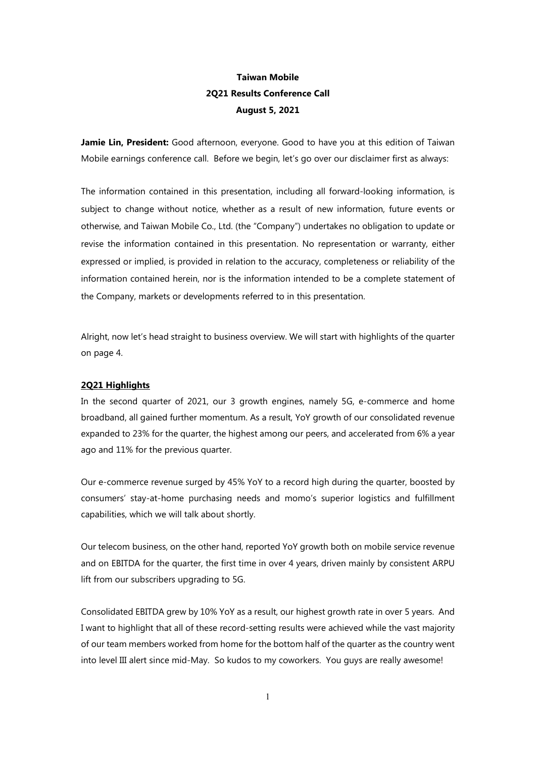# Taiwan Mobile 2Q21 Results Conference Call August 5, 2021

Jamie Lin, President: Good afternoon, everyone. Good to have you at this edition of Taiwan Mobile earnings conference call. Before we begin, let's go over our disclaimer first as always:

The information contained in this presentation, including all forward-looking information, is subject to change without notice, whether as a result of new information, future events or otherwise, and Taiwan Mobile Co., Ltd. (the "Company") undertakes no obligation to update or revise the information contained in this presentation. No representation or warranty, either expressed or implied, is provided in relation to the accuracy, completeness or reliability of the information contained herein, nor is the information intended to be a complete statement of the Company, markets or developments referred to in this presentation.

Alright, now let's head straight to business overview. We will start with highlights of the quarter on page 4.

# 2Q21 Highlights

In the second quarter of 2021, our 3 growth engines, namely 5G, e-commerce and home broadband, all gained further momentum. As a result, YoY growth of our consolidated revenue expanded to 23% for the quarter, the highest among our peers, and accelerated from 6% a year ago and 11% for the previous quarter.

Our e-commerce revenue surged by 45% YoY to a record high during the quarter, boosted by consumers' stay-at-home purchasing needs and momo's superior logistics and fulfillment capabilities, which we will talk about shortly.

Our telecom business, on the other hand, reported YoY growth both on mobile service revenue and on EBITDA for the quarter, the first time in over 4 years, driven mainly by consistent ARPU lift from our subscribers upgrading to 5G.

Consolidated EBITDA grew by 10% YoY as a result, our highest growth rate in over 5 years. And I want to highlight that all of these record-setting results were achieved while the vast majority of our team members worked from home for the bottom half of the quarter as the country went into level III alert since mid-May. So kudos to my coworkers. You guys are really awesome!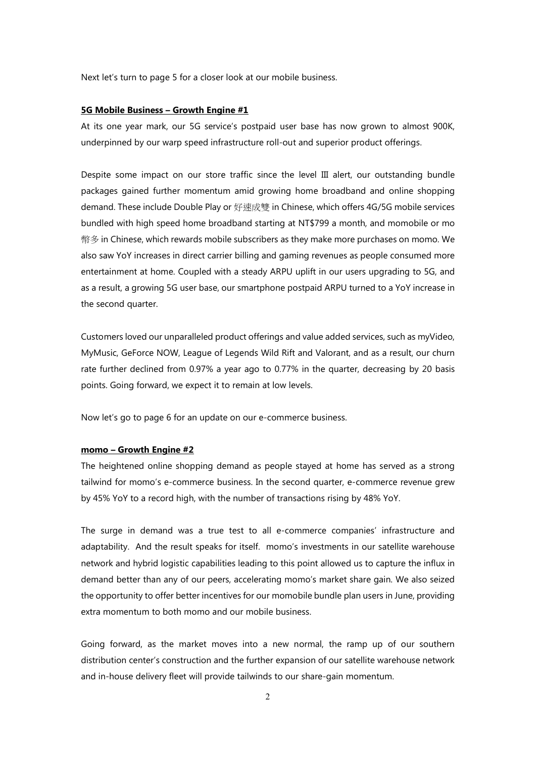Next let's turn to page 5 for a closer look at our mobile business.

#### 5G Mobile Business – Growth Engine #1

At its one year mark, our 5G service's postpaid user base has now grown to almost 900K, underpinned by our warp speed infrastructure roll-out and superior product offerings.

Despite some impact on our store traffic since the level III alert, our outstanding bundle packages gained further momentum amid growing home broadband and online shopping demand. These include Double Play or 好速成雙 in Chinese, which offers 4G/5G mobile services bundled with high speed home broadband starting at NT\$799 a month, and momobile or mo 幣多 in Chinese, which rewards mobile subscribers as they make more purchases on momo. We also saw YoY increases in direct carrier billing and gaming revenues as people consumed more entertainment at home. Coupled with a steady ARPU uplift in our users upgrading to 5G, and as a result, a growing 5G user base, our smartphone postpaid ARPU turned to a YoY increase in the second quarter.

Customers loved our unparalleled product offerings and value added services, such as myVideo, MyMusic, GeForce NOW, League of Legends Wild Rift and Valorant, and as a result, our churn rate further declined from 0.97% a year ago to 0.77% in the quarter, decreasing by 20 basis points. Going forward, we expect it to remain at low levels.

Now let's go to page 6 for an update on our e-commerce business.

#### momo – Growth Engine #2

The heightened online shopping demand as people stayed at home has served as a strong tailwind for momo's e-commerce business. In the second quarter, e-commerce revenue grew by 45% YoY to a record high, with the number of transactions rising by 48% YoY.

The surge in demand was a true test to all e-commerce companies' infrastructure and adaptability. And the result speaks for itself. momo's investments in our satellite warehouse network and hybrid logistic capabilities leading to this point allowed us to capture the influx in demand better than any of our peers, accelerating momo's market share gain. We also seized the opportunity to offer better incentives for our momobile bundle plan users in June, providing extra momentum to both momo and our mobile business.

Going forward, as the market moves into a new normal, the ramp up of our southern distribution center's construction and the further expansion of our satellite warehouse network and in-house delivery fleet will provide tailwinds to our share-gain momentum.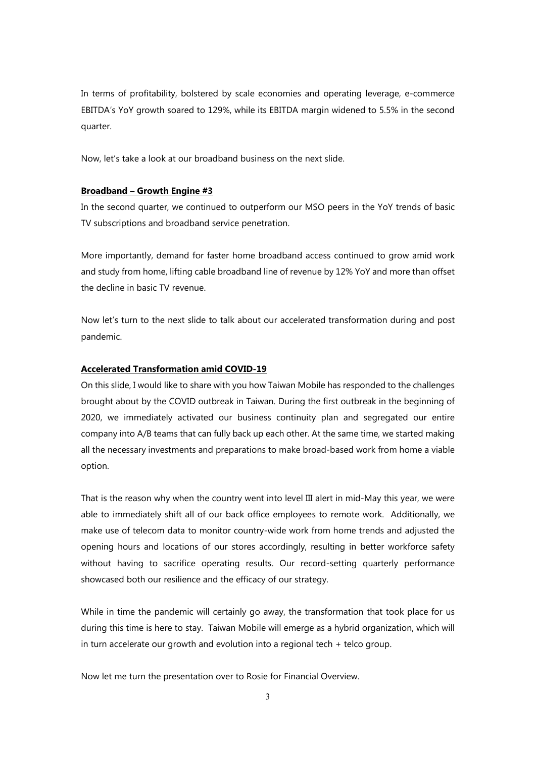In terms of profitability, bolstered by scale economies and operating leverage, e-commerce EBITDA's YoY growth soared to 129%, while its EBITDA margin widened to 5.5% in the second quarter.

Now, let's take a look at our broadband business on the next slide.

## Broadband – Growth Engine #3

In the second quarter, we continued to outperform our MSO peers in the YoY trends of basic TV subscriptions and broadband service penetration.

More importantly, demand for faster home broadband access continued to grow amid work and study from home, lifting cable broadband line of revenue by 12% YoY and more than offset the decline in basic TV revenue.

Now let's turn to the next slide to talk about our accelerated transformation during and post pandemic.

# Accelerated Transformation amid COVID-19

On this slide, I would like to share with you how Taiwan Mobile has responded to the challenges brought about by the COVID outbreak in Taiwan. During the first outbreak in the beginning of 2020, we immediately activated our business continuity plan and segregated our entire company into A/B teams that can fully back up each other. At the same time, we started making all the necessary investments and preparations to make broad-based work from home a viable option.

That is the reason why when the country went into level III alert in mid-May this year, we were able to immediately shift all of our back office employees to remote work. Additionally, we make use of telecom data to monitor country-wide work from home trends and adjusted the opening hours and locations of our stores accordingly, resulting in better workforce safety without having to sacrifice operating results. Our record-setting quarterly performance showcased both our resilience and the efficacy of our strategy.

While in time the pandemic will certainly go away, the transformation that took place for us during this time is here to stay. Taiwan Mobile will emerge as a hybrid organization, which will in turn accelerate our growth and evolution into a regional tech + telco group.

Now let me turn the presentation over to Rosie for Financial Overview.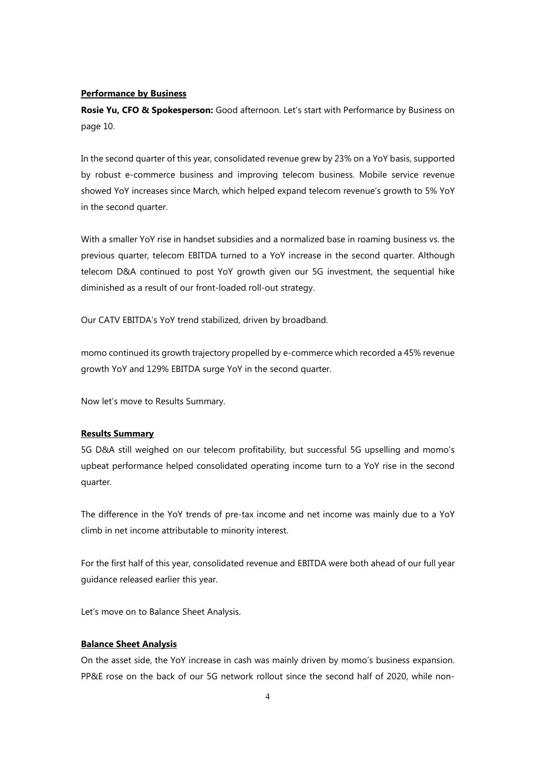## Performance by Business

Rosie Yu, CFO & Spokesperson: Good afternoon. Let's start with Performance by Business on page 10.

In the second quarter of this year, consolidated revenue grew by 23% on a YoY basis, supported by robust e-commerce business and improving telecom business. Mobile service revenue showed YoY increases since March, which helped expand telecom revenue's growth to 5% YoY in the second quarter.

With a smaller YoY rise in handset subsidies and a normalized base in roaming business vs. the previous quarter, telecom EBITDA turned to a YoY increase in the second quarter. Although telecom D&A continued to post YoY growth given our 5G investment, the sequential hike diminished as a result of our front-loaded roll-out strategy.

Our CATV EBITDA's YoY trend stabilized, driven by broadband.

momo continued its growth trajectory propelled by e-commerce which recorded a 45% revenue growth YoY and 129% EBITDA surge YoY in the second quarter.

Now let's move to Results Summary.

#### Results Summary

5G D&A still weighed on our telecom profitability, but successful 5G upselling and momo's upbeat performance helped consolidated operating income turn to a YoY rise in the second quarter.

The difference in the YoY trends of pre-tax income and net income was mainly due to a YoY climb in net income attributable to minority interest.

For the first half of this year, consolidated revenue and EBITDA were both ahead of our full year guidance released earlier this year.

Let's move on to Balance Sheet Analysis.

## Balance Sheet Analysis

On the asset side, the YoY increase in cash was mainly driven by momo's business expansion. PP&E rose on the back of our 5G network rollout since the second half of 2020, while non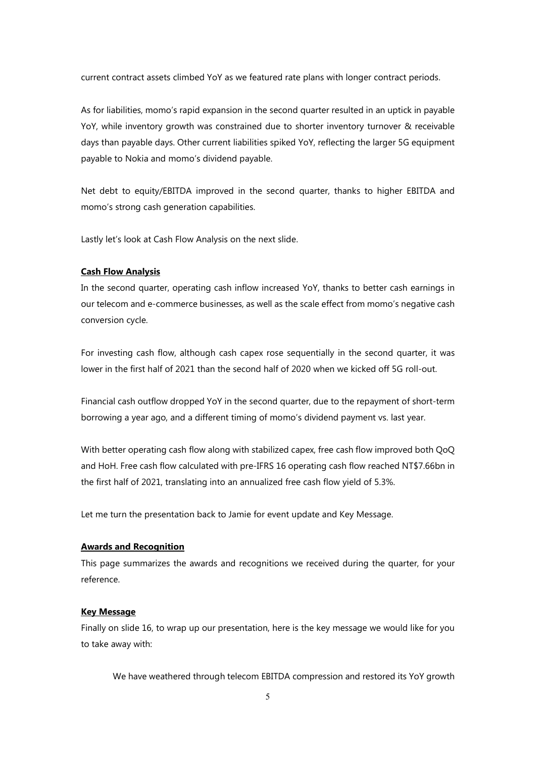current contract assets climbed YoY as we featured rate plans with longer contract periods.

As for liabilities, momo's rapid expansion in the second quarter resulted in an uptick in payable YoY, while inventory growth was constrained due to shorter inventory turnover & receivable days than payable days. Other current liabilities spiked YoY, reflecting the larger 5G equipment payable to Nokia and momo's dividend payable.

Net debt to equity/EBITDA improved in the second quarter, thanks to higher EBITDA and momo's strong cash generation capabilities.

Lastly let's look at Cash Flow Analysis on the next slide.

### Cash Flow Analysis

In the second quarter, operating cash inflow increased YoY, thanks to better cash earnings in our telecom and e-commerce businesses, as well as the scale effect from momo's negative cash conversion cycle.

For investing cash flow, although cash capex rose sequentially in the second quarter, it was lower in the first half of 2021 than the second half of 2020 when we kicked off 5G roll-out.

Financial cash outflow dropped YoY in the second quarter, due to the repayment of short-term borrowing a year ago, and a different timing of momo's dividend payment vs. last year.

With better operating cash flow along with stabilized capex, free cash flow improved both QoQ and HoH. Free cash flow calculated with pre-IFRS 16 operating cash flow reached NT\$7.66bn in the first half of 2021, translating into an annualized free cash flow yield of 5.3%.

Let me turn the presentation back to Jamie for event update and Key Message.

# Awards and Recognition

This page summarizes the awards and recognitions we received during the quarter, for your reference.

#### Key Message

Finally on slide 16, to wrap up our presentation, here is the key message we would like for you to take away with:

We have weathered through telecom EBITDA compression and restored its YoY growth